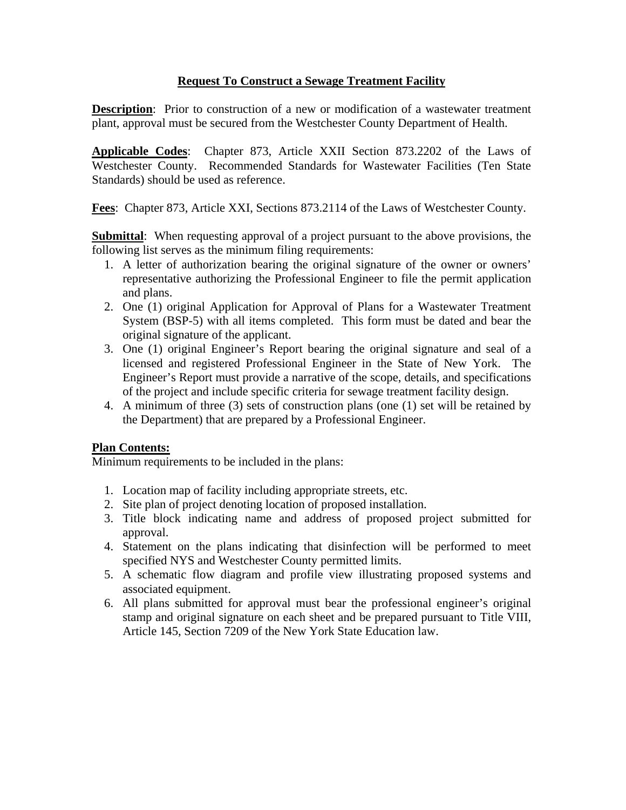## **Request To Construct a Sewage Treatment Facility**

**Description**: Prior to construction of a new or modification of a wastewater treatment plant, approval must be secured from the Westchester County Department of Health.

**Applicable Codes**: Chapter 873, Article XXII Section 873.2202 of the Laws of Westchester County. Recommended Standards for Wastewater Facilities (Ten State Standards) should be used as reference.

**Fees**: Chapter 873, Article XXI, Sections 873.2114 of the Laws of Westchester County.

**Submittal**: When requesting approval of a project pursuant to the above provisions, the following list serves as the minimum filing requirements:

- 1. A letter of authorization bearing the original signature of the owner or owners' representative authorizing the Professional Engineer to file the permit application and plans.
- 2. One (1) original Application for Approval of Plans for a Wastewater Treatment System (BSP-5) with all items completed. This form must be dated and bear the original signature of the applicant.
- 3. One (1) original Engineer's Report bearing the original signature and seal of a licensed and registered Professional Engineer in the State of New York. The Engineer's Report must provide a narrative of the scope, details, and specifications of the project and include specific criteria for sewage treatment facility design.
- 4. A minimum of three (3) sets of construction plans (one (1) set will be retained by the Department) that are prepared by a Professional Engineer.

## **Plan Contents:**

Minimum requirements to be included in the plans:

- 1. Location map of facility including appropriate streets, etc.
- 2. Site plan of project denoting location of proposed installation.
- 3. Title block indicating name and address of proposed project submitted for approval.
- 4. Statement on the plans indicating that disinfection will be performed to meet specified NYS and Westchester County permitted limits.
- 5. A schematic flow diagram and profile view illustrating proposed systems and associated equipment.
- 6. All plans submitted for approval must bear the professional engineer's original stamp and original signature on each sheet and be prepared pursuant to Title VIII, Article 145, Section 7209 of the New York State Education law.